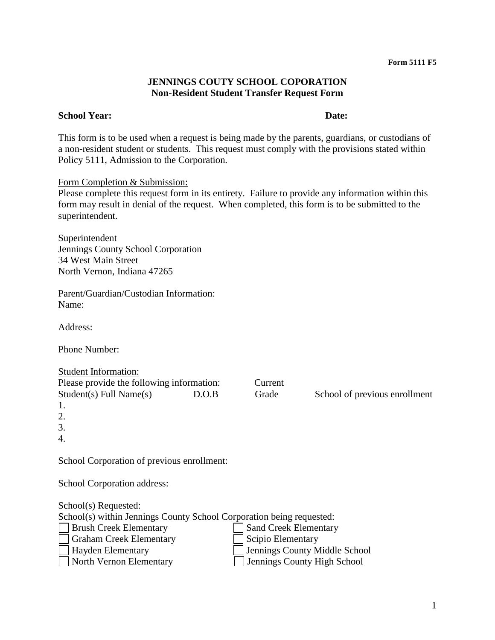## **JENNINGS COUTY SCHOOL COPORATION Non-Resident Student Transfer Request Form**

## **School Year: Date:**

This form is to be used when a request is being made by the parents, guardians, or custodians of a non-resident student or students. This request must comply with the provisions stated within Policy 5111, Admission to the Corporation*.*

Form Completion & Submission:

Please complete this request form in its entirety. Failure to provide any information within this form may result in denial of the request. When completed, this form is to be submitted to the superintendent.

Superintendent Jennings County School Corporation 34 West Main Street North Vernon, Indiana 47265

Parent/Guardian/Custodian Information: Name:

Address:

Phone Number:

| <b>Student Information:</b>                                          |       |                              |                               |
|----------------------------------------------------------------------|-------|------------------------------|-------------------------------|
| Please provide the following information:                            |       | Current                      |                               |
| $Student(s)$ Full Name $(s)$                                         | D.O.B | Grade                        | School of previous enrollment |
| 1.                                                                   |       |                              |                               |
| 2.                                                                   |       |                              |                               |
| 3.                                                                   |       |                              |                               |
| 4.                                                                   |       |                              |                               |
|                                                                      |       |                              |                               |
| School Corporation of previous enrollment:                           |       |                              |                               |
|                                                                      |       |                              |                               |
| School Corporation address:                                          |       |                              |                               |
|                                                                      |       |                              |                               |
| School(s) Requested:                                                 |       |                              |                               |
| School(s) within Jennings County School Corporation being requested: |       |                              |                               |
| <b>Brush Creek Elementary</b>                                        |       | <b>Sand Creek Elementary</b> |                               |
| <b>Graham Creek Elementary</b>                                       |       | Scipio Elementary            |                               |
| $H_{\alpha}$ $\alpha$ $\Gamma$ lamentowy                             |       |                              | Ionnings County Middle Cahool |

Hayden Elementary Jennings County Middle School<br>
North Vernon Elementary Jennings County High School  $\Box$  Jennings County High School